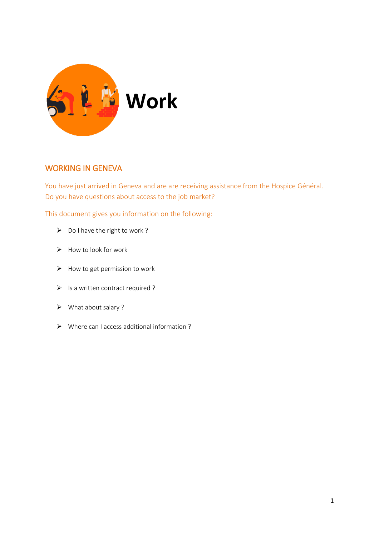

# WORKING IN GENEVA

You have just arrived in Geneva and are are receiving assistance from the Hospice Général. Do you have questions about access to the job market?

This document gives you information on the following:

- $\triangleright$  Do I have the right to work ?
- $\triangleright$  How to look for work
- $\triangleright$  How to get permission to work
- $\triangleright$  Is a written contract required ?
- What about salary ?
- Where can I access additional information ?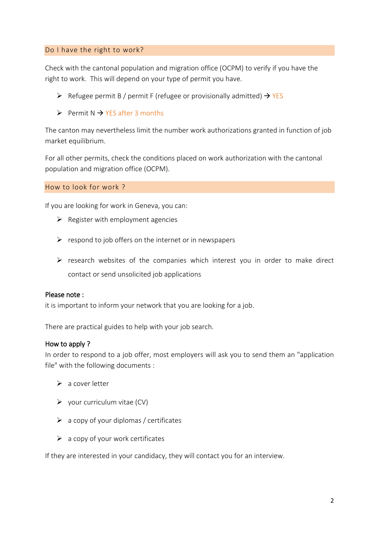# Do I have the right to work?

Check with the cantonal population and migration office (OCPM) to verify if you have the right to work. This will depend on your type of permit you have.

- $\triangleright$  Refugee permit B / permit F (refugee or provisionally admitted)  $\rightarrow$  YES
- $\triangleright$  Permit N  $\rightarrow$  YES after 3 months

The canton may nevertheless limit the number work authorizations granted in function of job market equilibrium.

For all other permits, check the conditions placed on work authorization with the cantonal population and migration office (OCPM).

How to look for work ?

If you are looking for work in Geneva, you can:

- $\triangleright$  Register with employment agencies
- $\triangleright$  respond to job offers on the internet or in newspapers
- $\triangleright$  research websites of the companies which interest you in order to make direct contact or send unsolicited job applications

## Please note :

it is important to inform your network that you are looking for a job.

There are practical guides to help with your job search.

# How to apply ?

In order to respond to a job offer, most employers will ask you to send them an "application file" with the following documents :

- $\triangleright$  a cover letter
- $\triangleright$  your curriculum vitae (CV)
- $\triangleright$  a copy of your diplomas / certificates
- $\triangleright$  a copy of your work certificates

If they are interested in your candidacy, they will contact you for an interview.